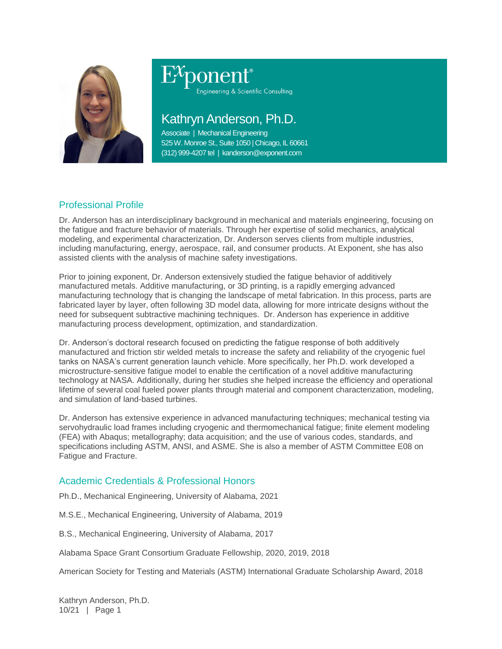

# Engineering & Scientific Consulting

# Kathryn Anderson, Ph.D.

Associate | Mechanical Engineering 525 W. Monroe St., Suite 1050 | Chicago, IL 60661 (312) 999-4207 tel | kanderson@exponent.com

## Professional Profile

Dr. Anderson has an interdisciplinary background in mechanical and materials engineering, focusing on the fatigue and fracture behavior of materials. Through her expertise of solid mechanics, analytical modeling, and experimental characterization, Dr. Anderson serves clients from multiple industries, including manufacturing, energy, aerospace, rail, and consumer products. At Exponent, she has also assisted clients with the analysis of machine safety investigations.

Prior to joining exponent, Dr. Anderson extensively studied the fatigue behavior of additively manufactured metals. Additive manufacturing, or 3D printing, is a rapidly emerging advanced manufacturing technology that is changing the landscape of metal fabrication. In this process, parts are fabricated layer by layer, often following 3D model data, allowing for more intricate designs without the need for subsequent subtractive machining techniques. Dr. Anderson has experience in additive manufacturing process development, optimization, and standardization.

Dr. Anderson's doctoral research focused on predicting the fatigue response of both additively manufactured and friction stir welded metals to increase the safety and reliability of the cryogenic fuel tanks on NASA's current generation launch vehicle. More specifically, her Ph.D. work developed a microstructure-sensitive fatigue model to enable the certification of a novel additive manufacturing technology at NASA. Additionally, during her studies she helped increase the efficiency and operational lifetime of several coal fueled power plants through material and component characterization, modeling, and simulation of land-based turbines.

Dr. Anderson has extensive experience in advanced manufacturing techniques; mechanical testing via servohydraulic load frames including cryogenic and thermomechanical fatigue; finite element modeling (FEA) with Abaqus; metallography; data acquisition; and the use of various codes, standards, and specifications including ASTM, ANSI, and ASME. She is also a member of ASTM Committee E08 on Fatigue and Fracture.

### Academic Credentials & Professional Honors

Ph.D., Mechanical Engineering, University of Alabama, 2021

M.S.E., Mechanical Engineering, University of Alabama, 2019

B.S., Mechanical Engineering, University of Alabama, 2017

Alabama Space Grant Consortium Graduate Fellowship, 2020, 2019, 2018

American Society for Testing and Materials (ASTM) International Graduate Scholarship Award, 2018

Kathryn Anderson, Ph.D. 10/21 | Page 1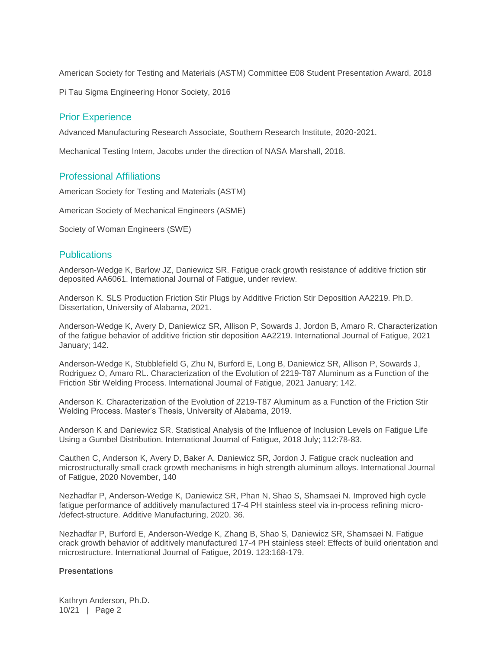American Society for Testing and Materials (ASTM) Committee E08 Student Presentation Award, 2018

Pi Tau Sigma Engineering Honor Society, 2016

#### Prior Experience

Advanced Manufacturing Research Associate, Southern Research Institute, 2020-2021.

Mechanical Testing Intern, Jacobs under the direction of NASA Marshall, 2018.

#### Professional Affiliations

American Society for Testing and Materials (ASTM)

American Society of Mechanical Engineers (ASME)

Society of Woman Engineers (SWE)

#### **Publications**

Anderson-Wedge K, Barlow JZ, Daniewicz SR. Fatigue crack growth resistance of additive friction stir deposited AA6061. International Journal of Fatigue, under review.

Anderson K. SLS Production Friction Stir Plugs by Additive Friction Stir Deposition AA2219. Ph.D. Dissertation, University of Alabama, 2021.

Anderson-Wedge K, Avery D, Daniewicz SR, Allison P, Sowards J, Jordon B, Amaro R. Characterization of the fatigue behavior of additive friction stir deposition AA2219. International Journal of Fatigue, 2021 January; 142.

Anderson-Wedge K, Stubblefield G, Zhu N, Burford E, Long B, Daniewicz SR, Allison P, Sowards J, Rodriguez O, Amaro RL. Characterization of the Evolution of 2219-T87 Aluminum as a Function of the Friction Stir Welding Process. International Journal of Fatigue, 2021 January; 142.

Anderson K. Characterization of the Evolution of 2219-T87 Aluminum as a Function of the Friction Stir Welding Process. Master's Thesis, University of Alabama, 2019.

Anderson K and Daniewicz SR. Statistical Analysis of the Influence of Inclusion Levels on Fatigue Life Using a Gumbel Distribution. International Journal of Fatigue, 2018 July; 112:78-83.

Cauthen C, Anderson K, Avery D, Baker A, Daniewicz SR, Jordon J. Fatigue crack nucleation and microstructurally small crack growth mechanisms in high strength aluminum alloys. International Journal of Fatigue, 2020 November, 140

Nezhadfar P, Anderson-Wedge K, Daniewicz SR, Phan N, Shao S, Shamsaei N. Improved high cycle fatigue performance of additively manufactured 17-4 PH stainless steel via in-process refining micro- /defect-structure. Additive Manufacturing, 2020. 36.

Nezhadfar P, Burford E, Anderson-Wedge K, Zhang B, Shao S, Daniewicz SR, Shamsaei N. Fatigue crack growth behavior of additively manufactured 17-4 PH stainless steel: Effects of build orientation and microstructure. International Journal of Fatigue, 2019. 123:168-179.

#### **Presentations**

Kathryn Anderson, Ph.D. 10/21 | Page 2